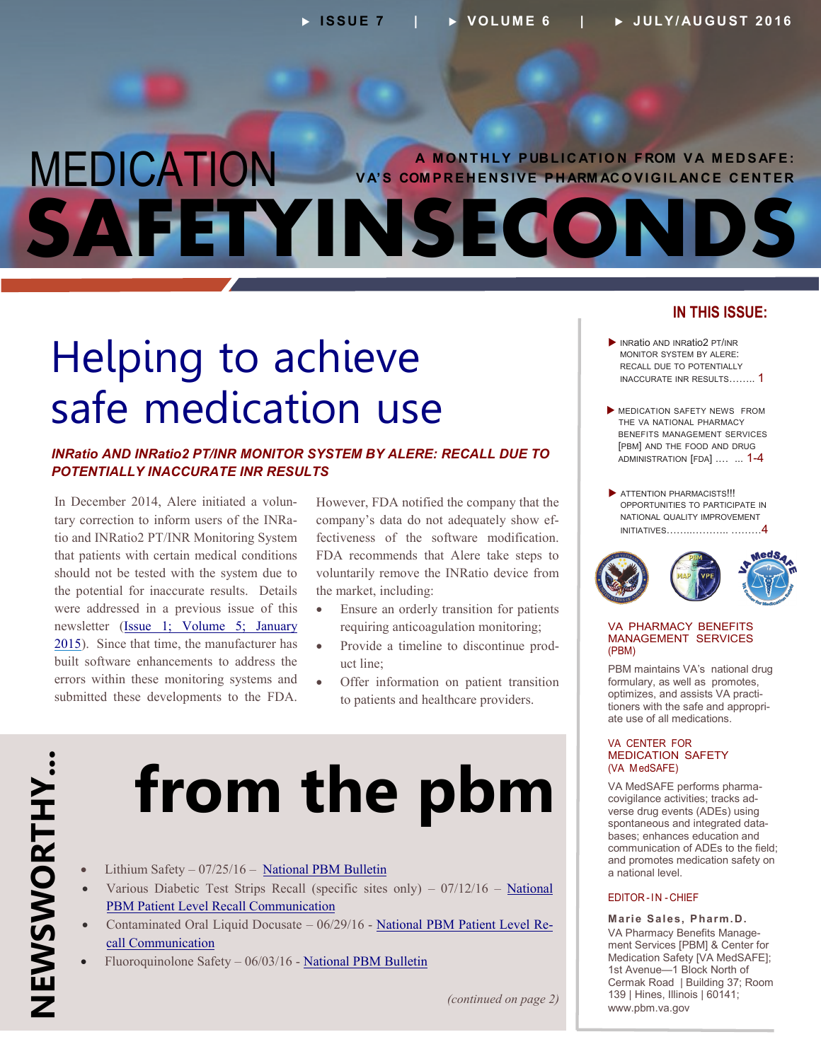### <span id="page-0-0"></span> **A M O N T H L Y P UB L I C AT I O N F ROM V A M E D S AF E : V A' S COM P R E H E N S I V E P H ARM AC O V I G I L AN C E C E N T E R**  MEDICATION **SAFETYINSECONDS**

### Helping to achieve safe medication use

#### *INRatio AND INRatio2 PT/INR MONITOR SYSTEM BY ALERE: RECALL DUE TO POTENTIALLY INACCURATE INR RESULTS*

In December 2014, Alere initiated a voluntary correction to inform users of the INRatio and INRatio2 PT/INR Monitoring System that patients with certain medical conditions should not be tested with the system due to the potential for inaccurate results. Details were addressed in a previous issue of this newsletter ([Issue 1; Volume 5; January](http://www.pbm.va.gov/PBM/vacenterformedicationsafety/newsletter/Medication_Safety_in_Seconds_Jan_2015_FINAL.pdf)  [2015\)](http://www.pbm.va.gov/PBM/vacenterformedicationsafety/newsletter/Medication_Safety_in_Seconds_Jan_2015_FINAL.pdf). Since that time, the manufacturer has built software enhancements to address the errors within these monitoring systems and submitted these developments to the FDA.

However, FDA notified the company that the company's data do not adequately show effectiveness of the software modification. FDA recommends that Alere take steps to voluntarily remove the INRatio device from the market, including:

- Ensure an orderly transition for patients requiring anticoagulation monitoring;
- Provide a timeline to discontinue product line;
- Offer information on patient transition to patients and healthcare providers.

# **from the pbm**

- Lithium Safety 07/25/16 [National PBM Bulletin](http://www.pbm.va.gov/PBM/vacenterformedicationsafety/nationalpbmbulletin/Lithium_Safety_NATIONAL_PBM_BULLETIN_072516_FINAL_with_disclaimer.pdf)
- Various Diabetic Test Strips Recall (specific sites only)  $07/12/16$  [National](http://www.pbm.va.gov/PBM/vacenterformedicationsafety/nationalpbmcommunication/Various_Diabetic_test_strips_National_PBM_Patient_Level_Recall_Communication_FINAL_071216.pdf) [PBM Patient Level Recall Communication](http://www.pbm.va.gov/PBM/vacenterformedicationsafety/nationalpbmcommunication/Various_Diabetic_test_strips_National_PBM_Patient_Level_Recall_Communication_FINAL_071216.pdf)
- Contaminated Oral Liquid Docusate 06/29/16 [National PBM Patient Level Re](http://www.pbm.va.gov/PBM/vacenterformedicationsafety/nationalpbmcommunication/Contaminated_Oral_Liquid_Docusate_National_PBM_Patient_Level_Recall_0629.pdf)[call Communication](http://www.pbm.va.gov/PBM/vacenterformedicationsafety/nationalpbmcommunication/Contaminated_Oral_Liquid_Docusate_National_PBM_Patient_Level_Recall_0629.pdf)
- Fluoroquinolone Safety 06/03/16 [National PBM Bulletin](http://www.pbm.va.gov/PBM/vacenterformedicationsafety/nationalpbmbulletin/FLUOROQUINOLONE_SAFETY_NATIONAL_PBM_BULLETIN_060316_FINAL.pdf)

#### **IN THIS ISSUE:**

- INRatio AND INRatio2 PT/INR MONITOR SYSTEM BY ALERE: RECALL DUE TO POTENTIALLY [INACCURATE INR RESULTS…….. 1](#page-0-0)
- [MEDICATION SAFETY NEWS FROM](#page-0-0)  THE VA NATIONAL PHARMACY BENEFITS MANAGEMENT SERVICES [PBM] AND THE FOOD AND DRUG ADMINISTRATION [FDA] .... ... 1-4
- **ATTENTION PHARMACISTS!!!** OPPORTUNITIES TO PARTICIPATE IN NATIONAL QUALITY IMPROVEMENT [INITIATIVES……..……….. ………4](#page-3-0)



#### VA PHARMACY BENEFITS MANAGEMENT SERVICES (PBM)

PBM maintains VA's national drug formulary, as well as promotes, optimizes, and assists VA practitioners with the safe and appropriate use of all medications.

#### VA CENTER FOR MEDICATION SAFETY (VA MedSAFE)

VA MedSAFE performs pharmacovigilance activities; tracks adverse drug events (ADEs) using spontaneous and integrated databases; enhances education and communication of ADEs to the field; and promotes medication safety on a national level.

#### EDITOR-IN -CHIEF

**Marie Sales, Pharm .D.**  VA Pharmacy Benefits Management Services [PBM] & Center for Medication Safety [VA MedSAFE]; 1st Avenue—1 Block North of Cermak Road | Building 37; Room 139 | Hines, Illinois | 60141; www.pbm.va.gov

*(continued on page 2)*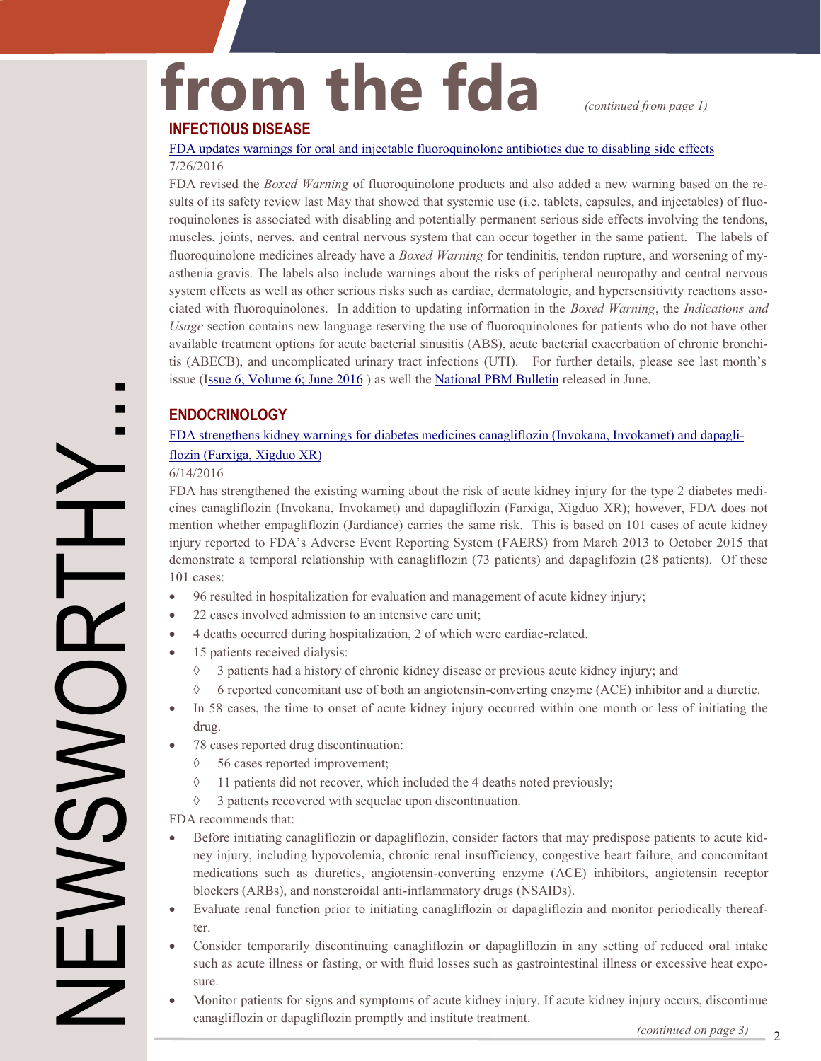### from the fda *continued from page 1)*

#### **INFECTIOUS DISEASE**

[FDA updates warnings for oral and injectable fluoroquinolone antibiotics due to disabling side effects](http://www.fda.gov/Drugs/DrugSafety/ucm511530.htm)  7/26/2016

FDA revised the *Boxed Warning* of fluoroquinolone products and also added a new warning based on the results of its safety review last May that showed that systemic use (i.e. tablets, capsules, and injectables) of fluoroquinolones is associated with disabling and potentially permanent serious side effects involving the tendons, muscles, joints, nerves, and central nervous system that can occur together in the same patient. The labels of fluoroquinolone medicines already have a *Boxed Warning* for tendinitis, tendon rupture, and worsening of myasthenia gravis. The labels also include warnings about the risks of peripheral neuropathy and central nervous system effects as well as other serious risks such as cardiac, dermatologic, and hypersensitivity reactions associated with fluoroquinolones. In addition to updating information in the *Boxed Warning*, the *Indications and Usage* section contains new language reserving the use of fluoroquinolones for patients who do not have other available treatment options for acute bacterial sinusitis (ABS), acute bacterial exacerbation of chronic bronchitis (ABECB), and uncomplicated urinary tract infections (UTI). For further details, please see last month's issue (Issue 6; Volume 6; June 2016) as well the [National PBM Bulletin](http://www.pbm.va.gov/PBM/vacenterformedicationsafety/nationalpbmbulletin/FLUOROQUINOLONE_SAFETY_NATIONAL_PBM_BULLETIN_060316_FINAL.pdf) released in June.

#### **ENDOCRINOLOGY**

#### [FDA strengthens kidney warnings for diabetes medicines canagliflozin \(Invokana, Invokamet\) and dapagli](http://www.fda.gov/Drugs/DrugSafety/ucm505860.htm)[flozin \(Farxiga, Xigduo XR\)](http://www.fda.gov/Drugs/DrugSafety/ucm505860.htm)

#### 6/14/2016

FDA has strengthened the existing warning about the risk of acute kidney injury for the type 2 diabetes medicines canagliflozin (Invokana, Invokamet) and dapagliflozin (Farxiga, Xigduo XR); however, FDA does not mention whether empagliflozin (Jardiance) carries the same risk. This is based on 101 cases of acute kidney injury reported to FDA's Adverse Event Reporting System (FAERS) from March 2013 to October 2015 that demonstrate a temporal relationship with canagliflozin (73 patients) and dapaglifozin (28 patients). Of these 101 cases:

- 96 resulted in hospitalization for evaluation and management of acute kidney injury;
- 22 cases involved admission to an intensive care unit;
- 4 deaths occurred during hospitalization, 2 of which were cardiac-related.
- 15 patients received dialysis:
	- 3 patients had a history of chronic kidney disease or previous acute kidney injury; and
	- $6$  reported concomitant use of both an angiotensin-converting enzyme (ACE) inhibitor and a diuretic.
- In 58 cases, the time to onset of acute kidney injury occurred within one month or less of initiating the  $\bullet$ drug.
- 78 cases reported drug discontinuation:
	- 56 cases reported improvement;
	- $\Diamond$  11 patients did not recover, which included the 4 deaths noted previously;
	- $\Diamond$  3 patients recovered with sequelae upon discontinuation.

FDA recommends that:

- $\bullet$ Before initiating canagliflozin or dapagliflozin, consider factors that may predispose patients to acute kidney injury, including hypovolemia, chronic renal insufficiency, congestive heart failure, and concomitant medications such as diuretics, angiotensin-converting enzyme (ACE) inhibitors, angiotensin receptor blockers (ARBs), and nonsteroidal anti-inflammatory drugs (NSAIDs).
- Evaluate renal function prior to initiating canagliflozin or dapagliflozin and monitor periodically thereafter.
- Consider temporarily discontinuing canagliflozin or dapagliflozin in any setting of reduced oral intake such as acute illness or fasting, or with fluid losses such as gastrointestinal illness or excessive heat exposure.
- Monitor patients for signs and symptoms of acute kidney injury. If acute kidney injury occurs, discontinue canagliflozin or dapagliflozin promptly and institute treatment.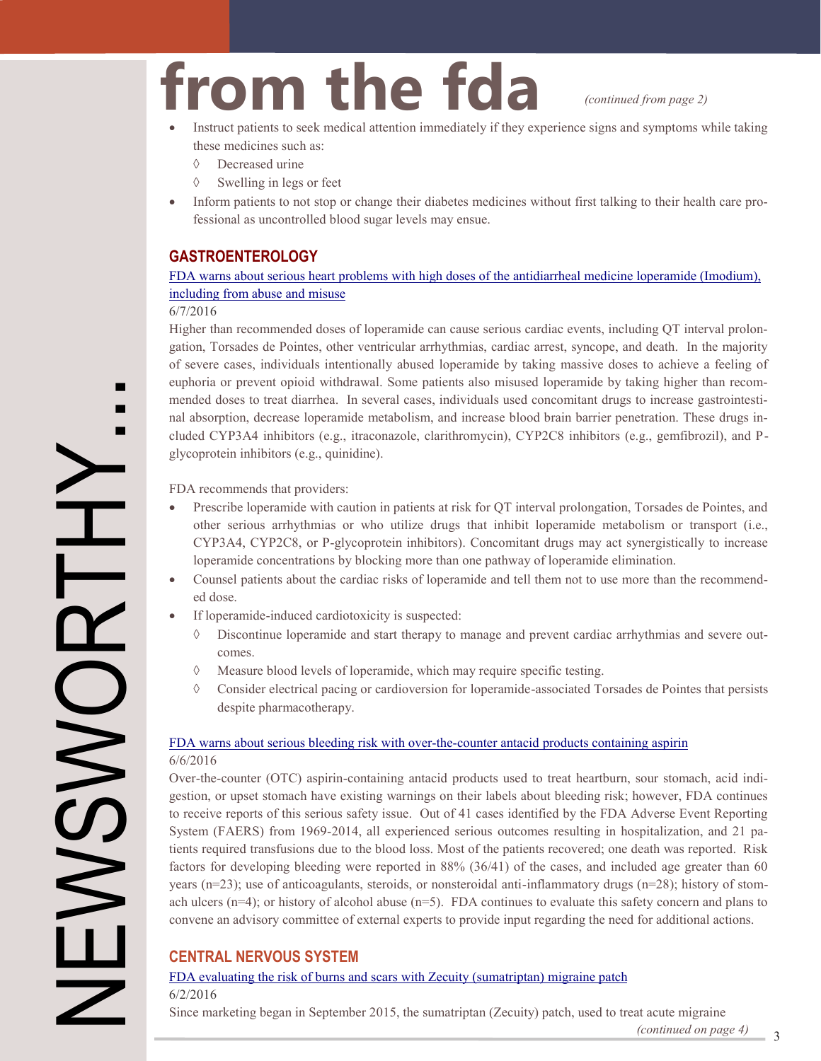# **from the fda** *(continued from page 2)*<br>• Instruct patients to seek medical attention immediately if they experience signs and symptoms while taking

- these medicines such as:
	- Decreased urine
	- $\Diamond$  Swelling in legs or feet
- Inform patients to not stop or change their diabetes medicines without first talking to their health care professional as uncontrolled blood sugar levels may ensue.

#### **GASTROENTEROLOGY**

#### [FDA warns about serious heart problems with high doses of the antidiarrheal medicine loperamide \(Imodium\),](http://www.fda.gov/Drugs/DrugSafety/ucm504617.htm)  [including from abuse and misuse](http://www.fda.gov/Drugs/DrugSafety/ucm504617.htm)

#### 6/7/2016

Higher than recommended doses of loperamide can cause serious cardiac events, including QT interval prolongation, Torsades de Pointes, other ventricular arrhythmias, cardiac arrest, syncope, and death. In the majority of severe cases, individuals intentionally abused loperamide by taking massive doses to achieve a feeling of euphoria or prevent opioid withdrawal. Some patients also misused loperamide by taking higher than recommended doses to treat diarrhea. In several cases, individuals used concomitant drugs to increase gastrointestinal absorption, decrease loperamide metabolism, and increase blood brain barrier penetration. These drugs included CYP3A4 inhibitors (e.g., itraconazole, clarithromycin), CYP2C8 inhibitors (e.g., gemfibrozil), and Pglycoprotein inhibitors (e.g., quinidine).

FDA recommends that providers:

- Prescribe loperamide with caution in patients at risk for QT interval prolongation, Torsades de Pointes, and other serious arrhythmias or who utilize drugs that inhibit loperamide metabolism or transport (i.e., CYP3A4, CYP2C8, or P-glycoprotein inhibitors). Concomitant drugs may act synergistically to increase loperamide concentrations by blocking more than one pathway of loperamide elimination.
- Counsel patients about the cardiac risks of loperamide and tell them not to use more than the recommended dose.
- If loperamide-induced cardiotoxicity is suspected:
	- Discontinue loperamide and start therapy to manage and prevent cardiac arrhythmias and severe outcomes.
	- $\Diamond$  Measure blood levels of loperamide, which may require specific testing.
	- Consider electrical pacing or cardioversion for loperamide-associated Torsades de Pointes that persists despite pharmacotherapy.

#### [FDA warns about serious bleeding risk with over](http://www.fda.gov/Drugs/DrugSafety/ucm504328.htm)-the-counter antacid products containing aspirin 6/6/2016

NEWSWORTHY.<br>
News moderns are the medical attention interactions which they experiment the half content of the second attention in the medical attention in the medical attention in the medical attention in the medical atte Over-the-counter (OTC) aspirin-containing antacid products used to treat heartburn, sour stomach, acid indigestion, or upset stomach have existing warnings on their labels about bleeding risk; however, FDA continues to receive reports of this serious safety issue. Out of 41 cases identified by the FDA Adverse Event Reporting System (FAERS) from 1969-2014, all experienced serious outcomes resulting in hospitalization, and 21 patients required transfusions due to the blood loss. Most of the patients recovered; one death was reported. Risk factors for developing bleeding were reported in 88% (36/41) of the cases, and included age greater than 60 years (n=23); use of anticoagulants, steroids, or nonsteroidal anti-inflammatory drugs (n=28); history of stomach ulcers (n=4); or history of alcohol abuse (n=5). FDA continues to evaluate this safety concern and plans to convene an advisory committee of external experts to provide input regarding the need for additional actions.

#### **CENTRAL NERVOUS SYSTEM**

#### [FDA evaluating the risk of burns and scars with Zecuity \(sumatriptan\) migraine patch](http://www.fda.gov/Drugs/DrugSafety/ucm504588.htm)  6/2/2016

Since marketing began in September 2015, the sumatriptan (Zecuity) patch, used to treat acute migraine

 $(continued on page 4)$   $3$